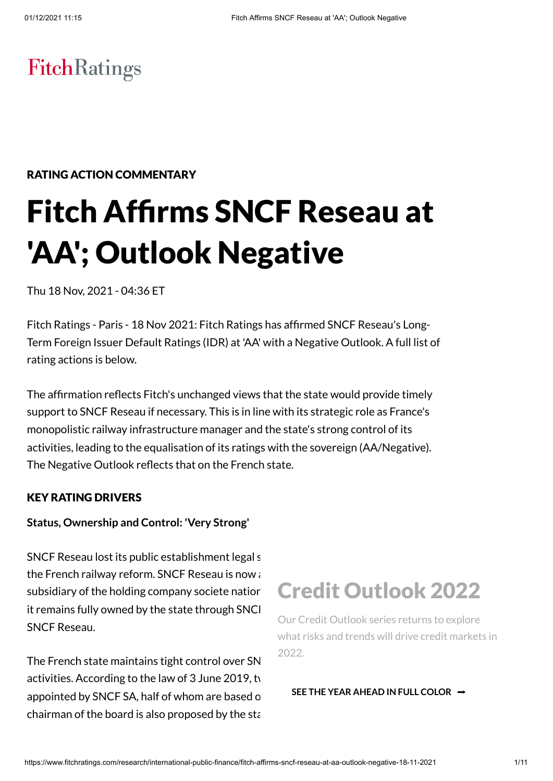# FitchRatings

# RATING ACTION COMMENTARY

# Fitch Affirms SNCF Reseau at 'AA'; Outlook Negative

Thu 18 Nov, 2021 - 04:36 ET

Fitch Ratings - Paris - 18 Nov 2021: Fitch Ratings has affirmed SNCF Reseau's Long-Term Foreign Issuer Default Ratings (IDR) at 'AA' with a Negative Outlook. A full list of rating actions is below.

The affirmation reflects Fitch's unchanged views that the state would provide timely support to SNCF Reseau if necessary. This is in line with its strategic role as France's monopolistic railway infrastructure manager and the state's strong control of its activities, leading to the equalisation of its ratings with the sovereign (AA/Negative). The Negative Outlook reflects that on the French state.

#### KEY RATING DRIVERS

#### **Status, Ownership and Control: 'Very Strong'**

SNCF Reseau lost its public establishment legal status (EPIC) in Application and D the French railway reform. SNCF Reseau is now  $i$ subsidiary of the holding company societe natior it remains fully owned by the state through SNCI SNCF Reseau.

The French state maintains tight control over SN activities. According to the law of  $3$  June 2019, ty appointed by SNCF SA, half of whom are based on chairman of the board is also proposed by the state

# Credit Outlook 2022

Our Credit Outlook series returns to explore what risks and trends will drive credit markets in 2022.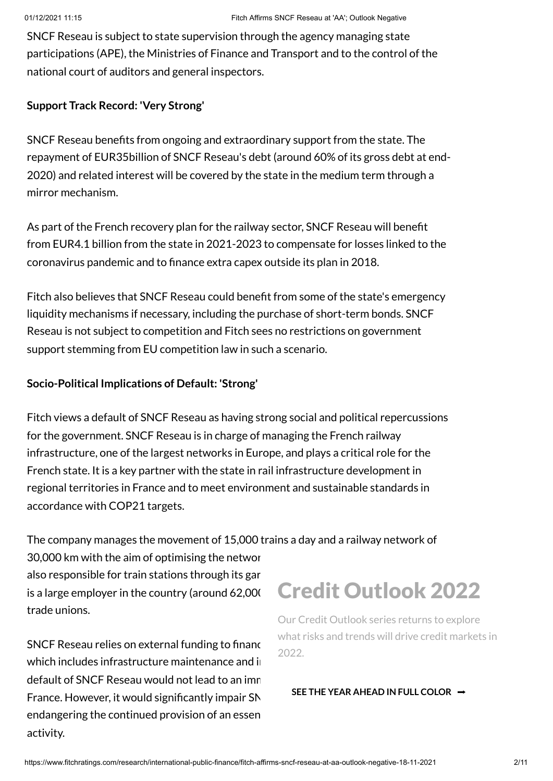SNCF Reseau is subject to state supervision through the agency managing state participations (APE), the Ministries of Finance and Transport and to the control of the national court of auditors and general inspectors.

### **Support Track Record: 'Very Strong'**

SNCF Reseau benefits from ongoing and extraordinary support from the state. The repayment of EUR35billion of SNCF Reseau's debt (around 60% of its gross debt at end-2020) and related interest will be covered by the state in the medium term through a mirror mechanism.

As part of the French recovery plan for the railway sector, SNCF Reseau will benefit from EUR4.1 billion from the state in 2021-2023 to compensate for losses linked to the coronavirus pandemic and to finance extra capex outside its plan in 2018.

Fitch also believes that SNCF Reseau could benefit from some of the state's emergency liquidity mechanisms if necessary, including the purchase of short-term bonds. SNCF Reseau is not subject to competition and Fitch sees no restrictions on government support stemming from EU competition law in such a scenario.

### **Socio-Political Implications of Default: 'Strong'**

Fitch views a default of SNCF Reseau as having strong social and political repercussions for the government. SNCF Reseau is in charge of managing the French railway infrastructure, one of the largest networks in Europe, and plays a critical role for the French state. It is a key partner with the state in rail infrastructure development in regional territories in France and to meet environment and sustainable standards in accordance with COP21 targets.

The company manages the movement of 15,000 trains a day and a railway network of

30,000 km with the aim of optimising the networ also responsible for train stations through its gare is a large employer in the country (around  $62,000$ trade unions.

SNCF Reseau relies on external funding to finance which includes infrastructure maintenance and in default of SNCF Reseau would not lead to an imnediate France. However, it would significantly impair SN endangering the continued provision of an essen activity.

# Credit Outlook 2022

Our Credit Outlook series returns to explore what risks and trends will drive credit markets in 2022.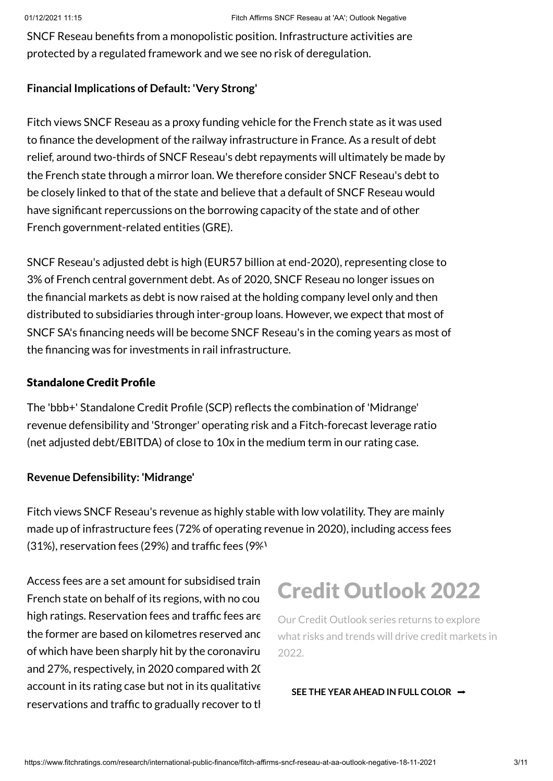SNCF Reseau benefits from a monopolistic position. Infrastructure activities are protected by a regulated framework and we see no risk of deregulation.

# **Financial Implications of Default: 'Very Strong'**

Fitch views SNCF Reseau as a proxy funding vehicle for the French state as it was used to finance the development of the railway infrastructure in France. As a result of debt relief, around two-thirds of SNCF Reseau's debt repayments will ultimately be made by the French state through a mirror loan. We therefore consider SNCF Reseau's debt to be closely linked to that of the state and believe that a default of SNCF Reseau would have significant repercussions on the borrowing capacity of the state and of other French government-related entities (GRE).

SNCF Reseau's adjusted debt is high (EUR57 billion at end-2020), representing close to 3% of French central government debt. As of 2020, SNCF Reseau no longer issues on the financial markets as debt is now raised at the holding company level only and then distributed to subsidiaries through inter-group loans. However, we expect that most of SNCF SA's financing needs will be become SNCF Reseau's in the coming years as most of the financing was for investments in rail infrastructure.

### Standalone Credit Profile

The 'bbb+' Standalone Credit Profile (SCP) reflects the combination of 'Midrange' revenue defensibility and 'Stronger' operating risk and a Fitch-forecast leverage ratio (net adjusted debt/EBITDA) of close to 10x in the medium term in our rating case.

# **Revenue Defensibility: 'Midrange'**

Fitch views SNCF Reseau's revenue as highly stable with low volatility. They are mainly made up of infrastructure fees (72% of operating revenue in 2020), including access fees (31%), reservation fees (29%) and traffic fees (9%).

Access fees are a set amount for subsidised train French state on behalf of its regions, with no counter high ratings. Reservation fees and traffic fees are the former are based on kilometres reserved and of which have been sharply hit by the coronaviru and 27%, respectively, in 2020 compared with 2019. account in its rating case but not in its qualitative reservations and traffic to gradually recover to the

# Credit Outlook 2022

Our Credit Outlook series returns to explore what risks and trends will drive credit markets in 2022.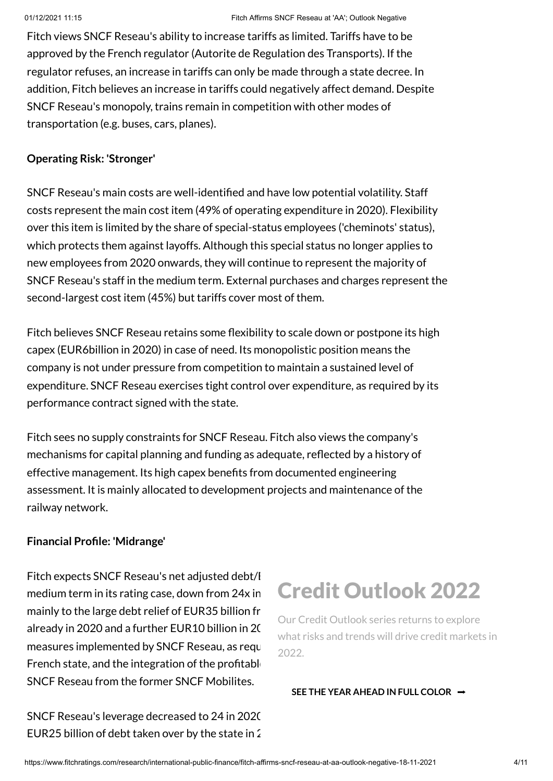Fitch views SNCF Reseau's ability to increase tariffs as limited. Tariffs have to be approved by the French regulator (Autorite de Regulation des Transports). If the regulator refuses, an increase in tariffs can only be made through a state decree. In addition, Fitch believes an increase in tariffs could negatively affect demand. Despite SNCF Reseau's monopoly, trains remain in competition with other modes of transportation (e.g. buses, cars, planes).

### **Operating Risk: 'Stronger'**

SNCF Reseau's main costs are well-identified and have low potential volatility. Staff costs represent the main cost item (49% of operating expenditure in 2020). Flexibility over this item is limited by the share of special-status employees ('cheminots' status), which protects them against layoffs. Although this special status no longer applies to new employees from 2020 onwards, they will continue to represent the majority of SNCF Reseau's staff in the medium term. External purchases and charges represent the second-largest cost item (45%) but tariffs cover most of them.

Fitch believes SNCF Reseau retains some flexibility to scale down or postpone its high capex (EUR6billion in 2020) in case of need. Its monopolistic position means the company is not under pressure from competition to maintain a sustained level of expenditure. SNCF Reseau exercises tight control over expenditure, as required by its performance contract signed with the state.

Fitch sees no supply constraints for SNCF Reseau. Fitch also views the company's mechanisms for capital planning and funding as adequate, reflected by a history of effective management. Its high capex benefits from documented engineering assessment. It is mainly allocated to development projects and maintenance of the railway network.

#### **Financial Profile: 'Midrange'**

Fitch expects SNCF Reseau's net adjusted debt/I medium term in its rating case, down from 24x in mainly to the large debt relief of EUR35 billion fr already in 2020 and a further EUR10 billion in 20 measures implemented by SNCF Reseau, as required by the contract signal and measured with the contract signal  $m$ French state, and the integration of the profitable SNCF Reseau from the former SNCF Mobilites.

SNCF Reseau's leverage decreased to 24 in 2020 EUR25 billion of debt taken over by the state in  $\Omega$ 

# Credit Outlook 2022

Our Credit Outlook series returns to explore what risks and trends will drive credit markets in 2022.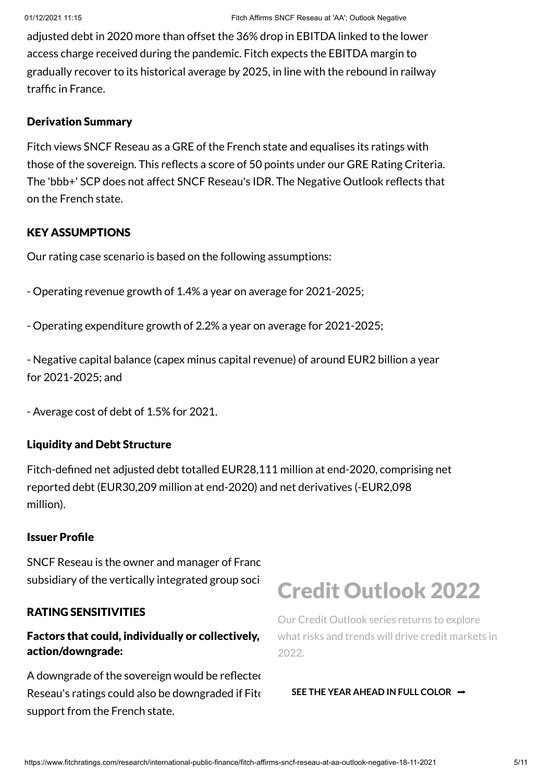adjusted debt in 2020 more than offset the 36% drop in EBITDA linked to the lower access charge received during the pandemic. Fitch expects the EBITDA margin to gradually recover to its historical average by 2025, in line with the rebound in railway traffic in France.

#### Derivation Summary

Fitch views SNCF Reseau as a GRE of the French state and equalises its ratings with those of the sovereign. This reflects a score of 50 points under our GRE Rating Criteria. The 'bbb+' SCP does not affect SNCF Reseau's IDR. The Negative Outlook reflects that on the French state.

# KEY ASSUMPTIONS

Our rating case scenario is based on the following assumptions:

- Operating revenue growth of 1.4% a year on average for 2021-2025;
- Operating expenditure growth of 2.2% a year on average for 2021-2025;

- Negative capital balance (capex minus capital revenue) of around EUR2 billion a year for 2021-2025; and

- Average cost of debt of 1.5% for 2021.

#### Liquidity and Debt Structure

Fitch-defined net adjusted debt totalled EUR28,111 million at end-2020, comprising net reported debt (EUR30,209 million at end-2020) and net derivatives (-EUR2,098 million).

#### Issuer Profile

SNCF Reseau is the owner and manager of France subsidiary of the vertically integrated group soci-

#### RATING SENSITIVITIES

# Factors that could, individually or collectively, action/downgrade:

A downgrade of the sovereign would be reflected Reseau's ratings could also be downgraded if Fite support from the French state.

# Credit Outlook 2022

Our Credit Outlook series returns to explore what risks and trends will drive credit markets in 2022.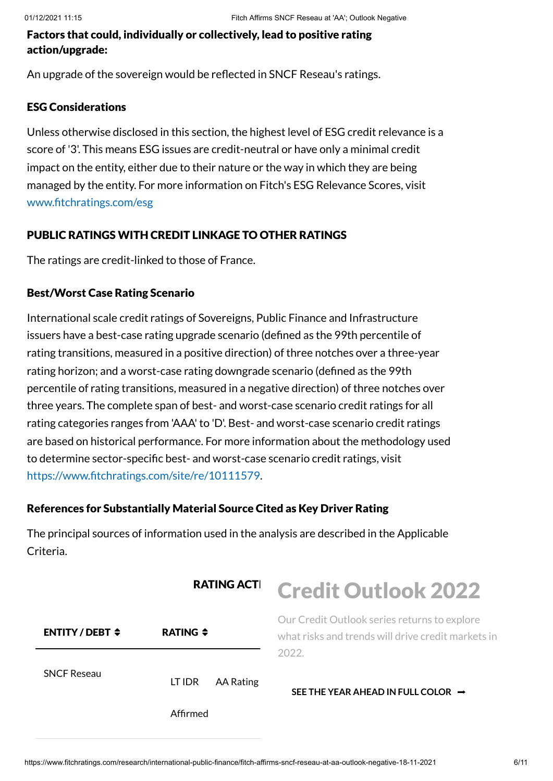# Factors that could, individually or collectively, lead to positive rating action/upgrade:

An upgrade of the sovereign would be reflected in SNCF Reseau's ratings.

#### ESG Considerations

Unless otherwise disclosed in this section, the highest level of ESG credit relevance is a score of '3'. This means ESG issues are credit-neutral or have only a minimal credit impact on the entity, either due to their nature or the way in which they are being managed by the entity. For more information on Fitch's ESG Relevance Scores, visit [www.fitchratings.com/esg](http://www.fitchratings.com/esg)

# PUBLIC RATINGS WITH CREDIT LINKAGE TO OTHER RATINGS

The ratings are credit-linked to those of France.

# Best/Worst Case Rating Scenario

International scale credit ratings of Sovereigns, Public Finance and Infrastructure issuers have a best-case rating upgrade scenario (defined as the 99th percentile of rating transitions, measured in a positive direction) of three notches over a three-year rating horizon; and a worst-case rating downgrade scenario (defined as the 99th percentile of rating transitions, measured in a negative direction) of three notches over three years. The complete span of best- and worst-case scenario credit ratings for all rating categories ranges from 'AAA' to 'D'. Best- and worst-case scenario credit ratings are based on historical performance. For more information about the methodology used to determine sector-specific best- and worst-case scenario credit ratings, visit <https://www.fitchratings.com/site/re/10111579>.

# References for Substantially Material Source Cited as Key Driver Rating

The principal sources of information used in the analysis are described in the Applicable Criteria.

|                                      | <b>RATING ACTI</b>         | <b>Credit Outlook 2022</b>                                                                                  |
|--------------------------------------|----------------------------|-------------------------------------------------------------------------------------------------------------|
| <b>ENTITY/DEBT <math>\div</math></b> | RATING $\div$              | Our Credit Outlook series returns to explore<br>what risks and trends will drive credit markets in<br>2022. |
| <b>SNCF Reseau</b>                   | <b>AA Rating</b><br>LT IDR | SEE THE YEAR AHEAD IN FULL COLOR $\rightarrow$                                                              |
|                                      | Affirmed                   |                                                                                                             |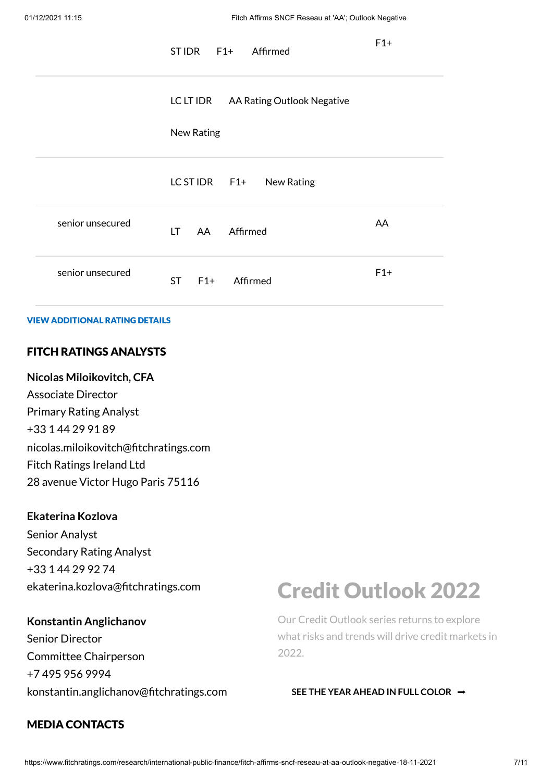|                  | STIDR F1+ Affirmed                   | $F1+$ |
|------------------|--------------------------------------|-------|
|                  | LC LT IDR AA Rating Outlook Negative |       |
|                  | New Rating                           |       |
|                  | LC ST IDR F1+ New Rating             |       |
| senior unsecured | LT AA Affirmed                       | AA    |
| senior unsecured | ST F1+ Affirmed                      | $F1+$ |

#### VIEW ADDITIONAL RATING DETAILS

### FITCH RATINGS ANALYSTS

#### **Nicolas Miloikovitch, CFA**

Associate Director Primary Rating Analyst +33 1 44 29 91 89 nicolas.miloikovitch@fitchratings.com Fitch Ratings Ireland Ltd 28 avenue Victor Hugo Paris 75116

#### **Ekaterina Kozlova**

Senior Analyst Secondary Rating Analyst +33 1 44 29 92 74 ekaterina.kozlova@fitchratings.com

#### **Konstantin Anglichanov**

Senior Director Committee Chairperson +7 495 956 9994 konstantin.anglichanov@fitchratings.com

# MEDIA CONTACTS

# Credit Outlook 2022

Our Credit Outlook series returns to explore what risks and trends will drive credit markets in 2022.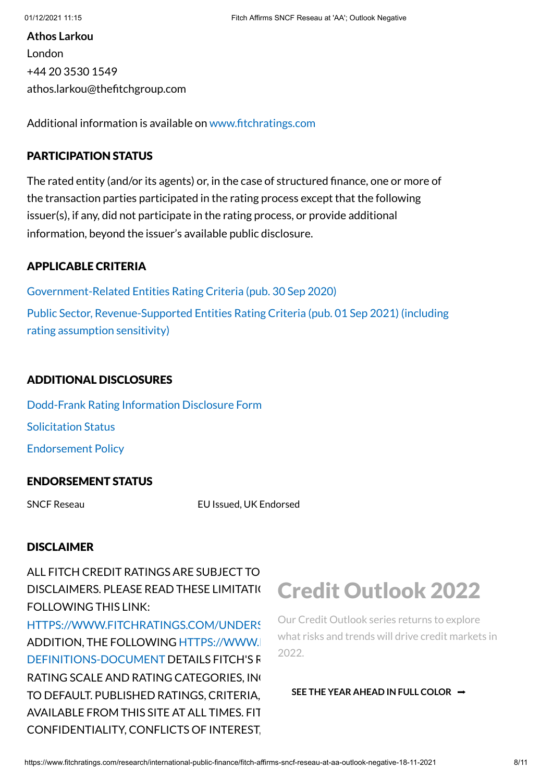**Athos Larkou** London +44 20 3530 1549 athos.larkou@thefitchgroup.com

Additional information is available on [www.fitchratings.com](http://www.fitchratings.com/)

#### PARTICIPATION STATUS

The rated entity (and/or its agents) or, in the case of structured finance, one or more of the transaction parties participated in the rating process except that the following issuer(s), if any, did not participate in the rating process, or provide additional information, beyond the issuer's available public disclosure.

### APPLICABLE CRITERIA

[Government-Related Entities](https://www.fitchratings.com/research/international-public-finance/government-related-entities-rating-criteria-30-09-2020) Rating Criteria (pub. 30 Sep 2020) Public Sector, [Revenue-Supported Entities](https://www.fitchratings.com/research/us-public-finance/public-sector-revenue-supported-entities-rating-criteria-01-09-2021) Rating Criteria (pub. 01 Sep 2021) (including rating assumption sensitivity)

# ADDITIONAL DISCLOSURES

[Dodd-Frank](https://www.fitchratings.com/research/international-public-finance/fitch-affirms-sncf-reseau-at-aa-outlook-negative-18-11-2021/dodd-frank-disclosure) Rating Information Disclosure Form Solicitation Status [Endorsement](#page-10-0) Policy

#### ENDORSEMENT STATUS

SNCF Reseau EU Issued, UK Endorsed

#### **DISCLAIMER**

ALL FITCH CREDIT RATINGS ARE SUBJECT TO DISCLAIMERS. PLEASE READ THESE LIMITATION FOLLOWING THIS LINK: HTTPS://WWW.FITCHRATINGS.COM/UNDERS ADDITION, THE FOLLOWING HTTPS://WWW. DEFINITIONS-DOCUMENT DETAILS FITCH'S R

RATING SCALE AND RATING CATEGORIES, INC TO DEFAULT. PUBLISHED RATINGS, CRITERIA, AVAILABLE FROM THIS SITE AT ALL TIMES. FIT CONFIDENTIALITY, CONFLICTS OF INTEREST,

# Credit Outlook 2022

Our Credit Outlook series returns to explore what risks and trends will drive credit markets in 2022.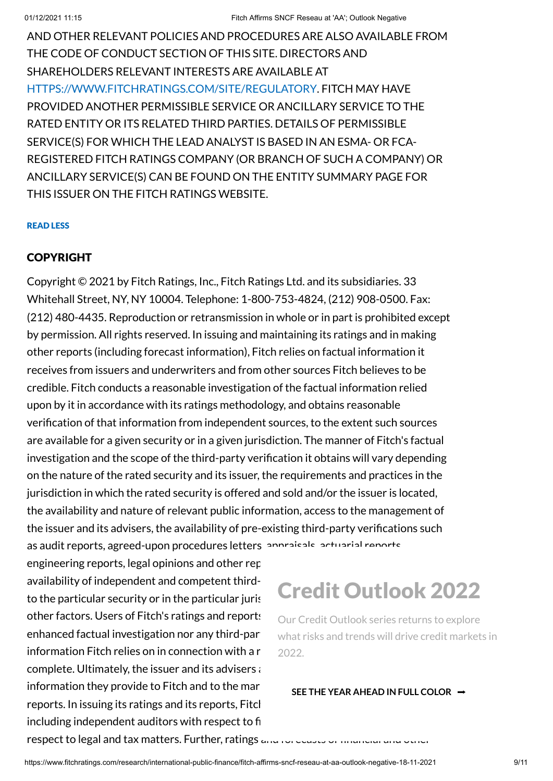AND OTHER RELEVANT POLICIES AND PROCEDURES ARE ALSO AVAILABLE FROM THE CODE OF CONDUCT SECTION OF THIS SITE. DIRECTORS AND SHAREHOLDERS RELEVANT INTERESTS ARE AVAILABLE AT [HTTPS://WWW.FITCHRATINGS.COM/SITE/REGULATORY](https://www.fitchratings.com/site/regulatory). FITCH MAY HAVE PROVIDED ANOTHER PERMISSIBLE SERVICE OR ANCILLARY SERVICE TO THE RATED ENTITY OR ITS RELATED THIRD PARTIES. DETAILS OF PERMISSIBLE SERVICE(S) FOR WHICH THE LEAD ANALYST IS BASED IN AN ESMA- OR FCA-REGISTERED FITCH RATINGS COMPANY (OR BRANCH OF SUCH A COMPANY) OR ANCILLARY SERVICE(S) CAN BE FOUND ON THE ENTITY SUMMARY PAGE FOR THIS ISSUER ON THE FITCH RATINGS WEBSITE.

#### READ LESS

### COPYRIGHT

Copyright © 2021 by Fitch Ratings, Inc., Fitch Ratings Ltd. and its subsidiaries. 33 Whitehall Street, NY, NY 10004. Telephone: 1-800-753-4824, (212) 908-0500. Fax: (212) 480-4435. Reproduction or retransmission in whole or in part is prohibited except by permission. All rights reserved. In issuing and maintaining its ratings and in making other reports (including forecast information), Fitch relies on factual information it receives from issuers and underwriters and from other sources Fitch believes to be credible. Fitch conducts a reasonable investigation of the factual information relied upon by it in accordance with its ratings methodology, and obtains reasonable verification of that information from independent sources, to the extent such sources are available for a given security or in a given jurisdiction. The manner of Fitch's factual investigation and the scope of the third-party verification it obtains will vary depending on the nature of the rated security and its issuer, the requirements and practices in the jurisdiction in which the rated security is offered and sold and/or the issuer is located, the availability and nature of relevant public information, access to the management of the issuer and its advisers, the availability of pre-existing third-party verifications such as audit reports, agreed-upon procedures letters, approvisals, actuarial reports

engineering reports, legal opinions and other rep availability of independent and competent thirdto the particular security or in the particular juris other factors. Users of Fitch's ratings and reports enhanced factual investigation nor any third-party information Fitch relies on in connection with a r complete. Ultimately, the issuer and its advisers  $i$ information they provide to Fitch and to the mar reports. In issuing its ratings and its reports, Fitch including independent auditors with respect to fi

# Credit Outlook 2022

Our Credit Outlook series returns to explore what risks and trends will drive credit markets in 2022.

#### **SEE THE YEAR AHEAD IN FULL COLOR** ➡

respect to legal and tax matters. Further, ratings  $a_1, a_2, a_3, a_4, a_5, a_6, a_7, a_8, a_9, a_1, a_2, a_3, a_4, a_5, a_6, a_7, a_8, a_9, a_1, a_2, a_3, a_4, a_5, a_6, a_7, a_8, a_9, a_1, a_2, a_3, a_4, a_5, a_6, a_7, a_8, a_9, a_1, a_2, a_3, a_4, a_5, a_6, a_$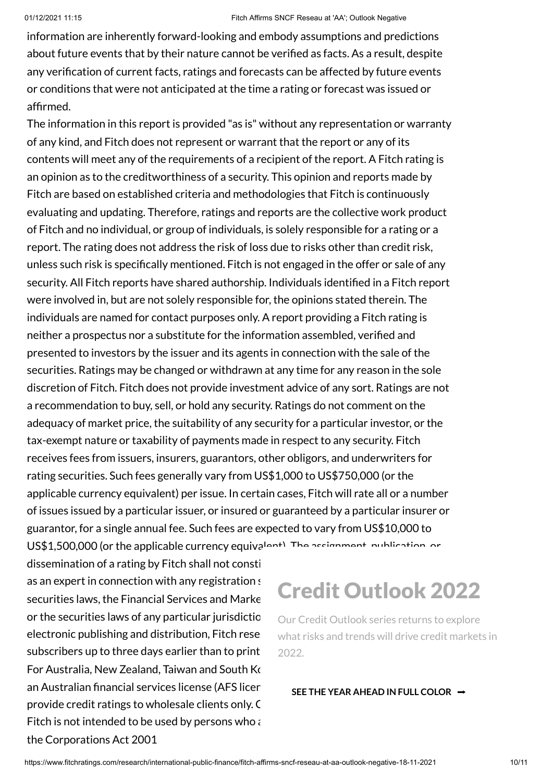information are inherently forward-looking and embody assumptions and predictions about future events that by their nature cannot be verified as facts. As a result, despite any verification of current facts, ratings and forecasts can be affected by future events or conditions that were not anticipated at the time a rating or forecast was issued or affirmed.

The information in this report is provided "as is" without any representation or warranty of any kind, and Fitch does not represent or warrant that the report or any of its contents will meet any of the requirements of a recipient of the report. A Fitch rating is an opinion as to the creditworthiness of a security. This opinion and reports made by Fitch are based on established criteria and methodologies that Fitch is continuously evaluating and updating. Therefore, ratings and reports are the collective work product of Fitch and no individual, or group of individuals, is solely responsible for a rating or a report. The rating does not address the risk of loss due to risks other than credit risk, unless such risk is specifically mentioned. Fitch is not engaged in the offer or sale of any security. All Fitch reports have shared authorship. Individuals identified in a Fitch report were involved in, but are not solely responsible for, the opinions stated therein. The individuals are named for contact purposes only. A report providing a Fitch rating is neither a prospectus nor a substitute for the information assembled, verified and presented to investors by the issuer and its agents in connection with the sale of the securities. Ratings may be changed or withdrawn at any time for any reason in the sole discretion of Fitch. Fitch does not provide investment advice of any sort. Ratings are not a recommendation to buy, sell, or hold any security. Ratings do not comment on the adequacy of market price, the suitability of any security for a particular investor, or the tax-exempt nature or taxability of payments made in respect to any security. Fitch receives fees from issuers, insurers, guarantors, other obligors, and underwriters for rating securities. Such fees generally vary from US\$1,000 to US\$750,000 (or the applicable currency equivalent) per issue. In certain cases, Fitch will rate all or a number of issues issued by a particular issuer, or insured or guaranteed by a particular insurer or guarantor, for a single annual fee. Such fees are expected to vary from US\$10,000 to US\$1,500,000 (or the applicable currency equivalent). The assignment, publication, or

dissemination of a rating by Fitch shall not constitution of a rating by Fitch shall not constituted as as an expert in connection with any registration statement securities laws, the Financial Services and Marke or the securities laws of any particular jurisdictio electronic publishing and distribution. Fitch rese subscribers up to three days earlier than to print For Australia, New Zealand, Taiwan and South Korea only an Australian financial services license (AFS licer provide credit ratings to wholesale clients only. C Fitch is not intended to be used by persons who  $\epsilon$ the Corporations Act 2001

# Credit Outlook 2022

Our Credit Outlook series returns to explore what risks and trends will drive credit markets in 2022.